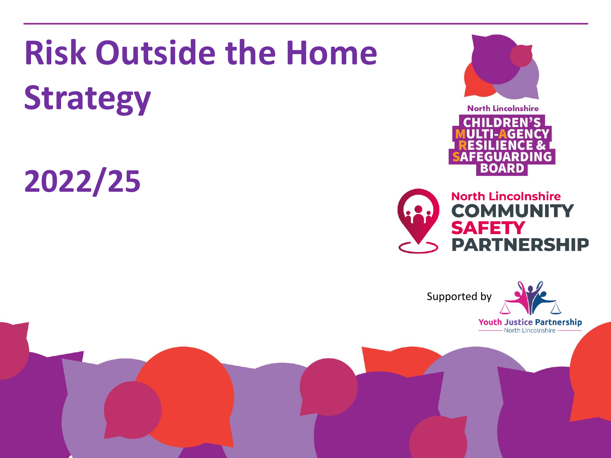# **Risk Outside the Home Strategy**

**2022/25**







**Youth Justice Partnership** North Lincolnshire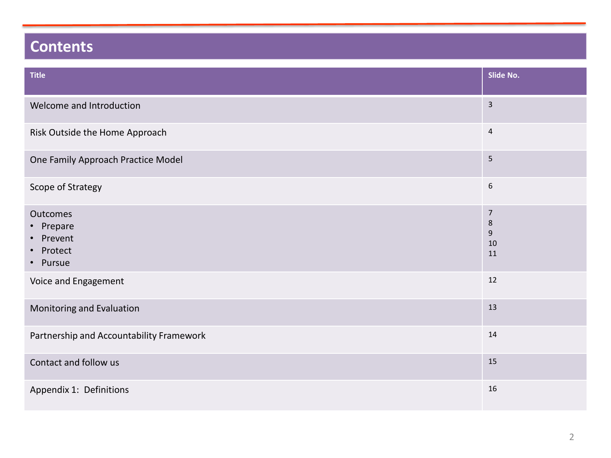# **Contents**

| <b>Title</b>                                                | Slide No.                                      |
|-------------------------------------------------------------|------------------------------------------------|
| Welcome and Introduction                                    | $\mathsf{3}$                                   |
| Risk Outside the Home Approach                              | $\overline{a}$                                 |
| One Family Approach Practice Model                          | 5                                              |
| Scope of Strategy                                           | $\boldsymbol{6}$                               |
| Outcomes<br>• Prepare<br>• Prevent<br>• Protect<br>• Pursue | $\overline{7}$<br>$\,$ 8 $\,$<br>9<br>10<br>11 |
| Voice and Engagement                                        | 12                                             |
| Monitoring and Evaluation                                   | 13                                             |
| Partnership and Accountability Framework                    | 14                                             |
| Contact and follow us                                       | 15                                             |
| Appendix 1: Definitions                                     | 16                                             |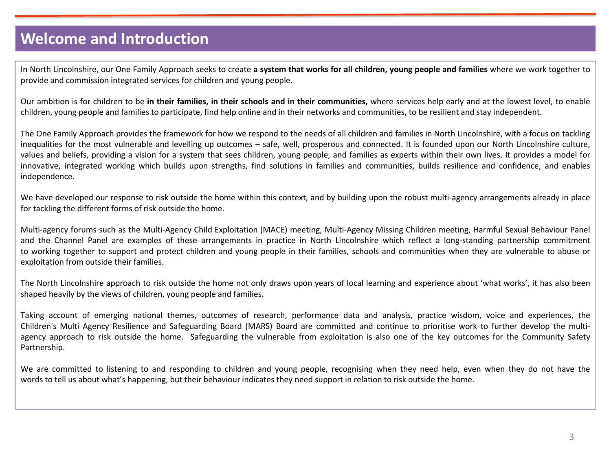## **Welcome and Introduction**

In North Lincolnshire, our One Family Approach seeks to create a system that works for all children, young people and families where we work together to provide and commission integrated services for children and young people.

Our ambition is for children to be in their families, in their schools and in their communities, where services help early and at the lowest level, to enable children, young people and families to participate, find help online and in their networks and communities, to be resilient and stay independent.

The One Family Approach provides the framework for how we respond to the needs of all children and families in North Lincolnshire, with a focus on tackling inequalities for the most vulnerable and levelling up outcomes – safe, well, prosperous and connected. It is founded upon our North Lincolnshire culture, values and beliefs, providing a vision for a system that sees children, young people, and families as experts within their own lives. It provides a model for innovative, integrated working which builds upon strengths, find solutions in families and communities, builds resilience and confidence, and enables independence.

We have developed our response to risk outside the home within this context, and by building upon the robust multi-agency arrangements already in place for tackling the different forms of risk outside the home.

Multi-agency forums such as the Multi-Agency Child Exploitation (MACE) meeting, Multi-Agency Missing Children meeting, Harmful Sexual Behaviour Panel and the Channel Panel are examples of these arrangements in practice in North Lincolnshire which reflect a long-standing partnership commitment to working together to support and protect children and young people in their families, schools and communities when they are vulnerable to abuse or exploitation from outside their families.

The North Lincolnshire approach to risk outside the home not only draws upon years of local learning and experience about 'what works', it has also been shaped heavily by the views of children, young people and families.

Taking account of emerging national themes, outcomes of research, performance data and analysis, practice wisdom, voice and experiences, the Children's Multi Agency Resilience and Safeguarding Board (MARS) Board are committed and continue to prioritise work to further develop the multiagency approach to risk outside the home. Safeguarding the vulnerable from exploitation is also one of the key outcomes for the Community Safety Partnership.

We are committed to listening to and responding to children and young people, recognising when they need help, even when they do not have the words to tell us about what's happening, but their behaviour indicates they need support in relation to risk outside the home.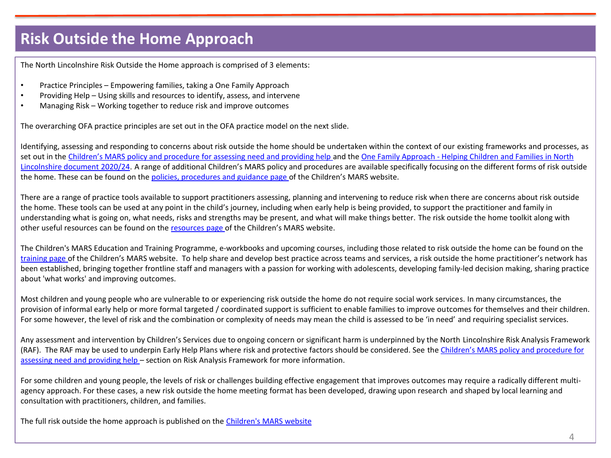## **Risk Outside the Home Approach**

The North Lincolnshire Risk Outside the Home approach is comprised of 3 elements:

- Practice Principles Empowering families, taking a One Family Approach
- Providing Help Using skills and resources to identify, assess, and intervene
- Managing Risk Working together to reduce risk and improve outcomes

The overarching OFA practice principles are set out in the OFA practice model on the next slide.

Identifying, assessing and responding to concerns about risk outside the home should be undertaken within the context of our existing frameworks and processes, as set out in the [Children's MARS policy and procedure for assessing need and providing help](http://www.northlincscmars.co.uk/policies-procedures-and-guidance/) and the One Family Approach - Helping Children and Families in North Lincolnshire document 2020/24. A range of additional [Children's MARS policy and procedures are available specifically focusing on the different forms of risk](http://www.northlincscmars.co.uk/policies-procedures-and-guidance/) outside the home. These can be found on the [policies, procedures and guidance page](http://www.northlincscmars.co.uk/policies-procedures-and-guidance/) of the Children's MARS website.

There are a range of practice tools available to support practitioners assessing, planning and intervening to reduce risk when there are concerns about risk outside the home. These tools can be used at any point in the child's journey, including when early help is being provided, to support the practitioner and family in understanding what is going on, what needs, risks and strengths may be present, and what will make things better. The risk outside the home toolkit along with other useful resources can be found on the [resources page](http://www.northlincscmars.co.uk/resources/) of the Children's MARS website.

The Children's MARS Education and Training Programme, e-workbooks and upcoming courses, including those related to risk outside the home can be found on the [training page](http://www.northlincscmars.co.uk/training) of the Children's MARS website. To help share and develop best practice across teams and services, a risk outside the home practitioner's network has been established, bringing together frontline staff and managers with a passion for working with adolescents, developing family-led decision making, sharing practice about 'what works' and improving outcomes.

Most children and young people who are vulnerable to or experiencing risk outside the home do not require social work services. In many circumstances, the provision of informal early help or more formal targeted / coordinated support is sufficient to enable families to improve outcomes for themselves and their children. For some however, the level of risk and the combination or complexity of needs may mean the child is assessed to be 'in need' and requiring specialist services.

Any assessment and intervention by Children's Services due to ongoing concern or significant harm is underpinned by the North Lincolnshire Risk Analysis Framework (RAF). [The RAF may be used to underpin Early Help Plans where risk and protective factors should be considered. See](http://www.northlincscmars.co.uk/policies-procedures-and-guidance/) the Children's MARS policy and procedure for assessing need and providing help – section on Risk Analysis Framework for more information.

For some children and young people, the levels of risk or challenges building effective engagement that improves outcomes may require a radically different multiagency approach. For these cases, a new risk outside the home meeting format has been developed, drawing upon research and shaped by local learning and consultation with practitioners, children, and families.

The full risk outside the home approach is published on the [Children's MARS website](https://www.northlincscmars.co.uk/wp-content/uploads/2021/11/North-Lincolnshire-ROTH-approach-28.10.21.pdf)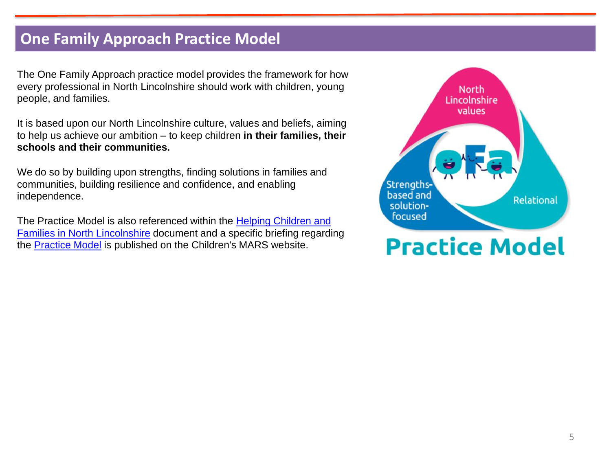#### **One Family Approach Practice Model**

The One Family Approach practice model provides the framework for how every professional in North Lincolnshire should work with children, young people, and families.

It is based upon our North Lincolnshire culture, values and beliefs, aiming to help us achieve our ambition – to keep children **in their families, their schools and their communities.**

We do so by building upon strengths, finding solutions in families and communities, building resilience and confidence, and enabling independence.

[The Practice Model is also referenced within the Helping Children and](https://www.northlincscmars.co.uk/wp-content/uploads/2020/10/Helping-Children-and-Families-in-NL-Doc-2020-24-FINAL-VERSION.pdf)  Families in North Lincolnshire document and a specific briefing regarding the [Practice Model](https://www.northlincscmars.co.uk/wp-content/uploads/2021/10/NL-OFA-Practice-Model-Sept-2021-1.pdf) is published on the Children's MARS website.

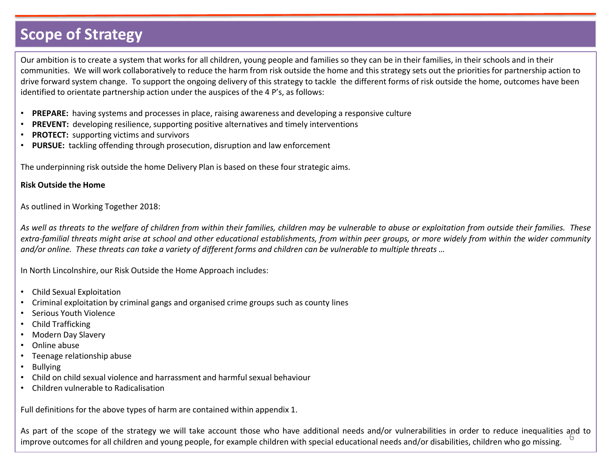## **Scope of Strategy**

Our ambition is to create a system that works for all children, young people and families so they can be in their families, in their schools and in their communities. We will work collaboratively to reduce the harm from risk outside the home and this strategy sets out the priorities for partnership action to drive forward system change. To support the ongoing delivery of this strategy to tackle the different forms of risk outside the home, outcomes have been identified to orientate partnership action under the auspices of the 4 P's, as follows:

- **PREPARE:** having systems and processes in place, raising awareness and developing a responsive culture
- **PREVENT:** developing resilience, supporting positive alternatives and timely interventions
- **PROTECT:** supporting victims and survivors
- **PURSUE:** tackling offending through prosecution, disruption and law enforcement

The underpinning risk outside the home Delivery Plan is based on these four strategic aims.

#### **Risk Outside the Home**

As outlined in Working Together 2018:

As well as threats to the welfare of children from within their families, children may be vulnerable to abuse or exploitation from outside their families. These extra-familial threats might arise at school and other educational establishments, from within peer groups, or more widely from within the wider community and/or online. These threats can take a variety of different forms and children can be vulnerable to multiple threats ...

In North Lincolnshire, our Risk Outside the Home Approach includes:

- Child Sexual Exploitation
- Criminal exploitation by criminal gangs and organised crime groups such as county lines
- Serious Youth Violence
- Child Trafficking
- Modern Day Slavery
- Online abuse
- Teenage relationship abuse
- Bullying
- Child on child sexual violence and harrassment and harmful sexual behaviour
- Children vulnerable to Radicalisation

Full definitions for the above types of harm are contained within appendix 1.

As part of the scope of the strategy we will take account those who have additional needs and/or vulnerabilities in order to reduce inequalities and to<br>improve outcomes for all children and voung people, for example childr improve outcomes for all children and young people, for example children with special educational needs and/or disabilities, children who go missing.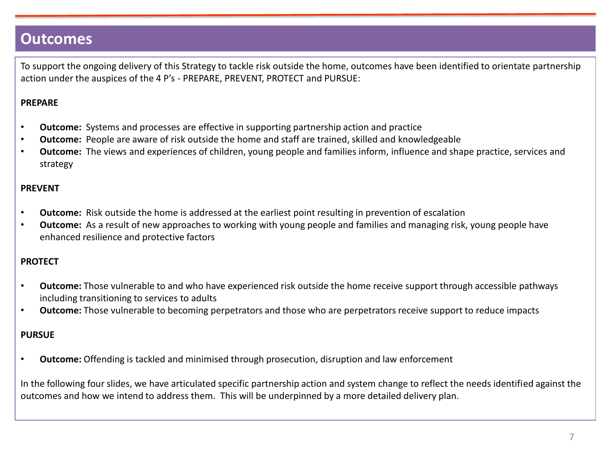#### **Outcomes**

To support the ongoing delivery of this Strategy to tackle risk outside the home, outcomes have been identified to orientate partnership action under the auspices of the 4 P's - PREPARE, PREVENT, PROTECT and PURSUE:

#### **PREPARE**

- **Outcome:** Systems and processes are effective in supporting partnership action and practice
- **Outcome:** People are aware of risk outside the home and staff are trained, skilled and knowledgeable
- **Outcome:** The views and experiences of children, young people and families inform, influence and shape practice, services and strategy

#### **PREVENT**

- **Outcome:** Risk outside the home is addressed at the earliest point resulting in prevention of escalation
- **Outcome:** As a result of new approaches to working with young people and families and managing risk, young people have enhanced resilience and protective factors

#### **PROTECT**

- **Outcome:** Those vulnerable to and who have experienced risk outside the home receive support through accessible pathways including transitioning to services to adults
- **Outcome:** Those vulnerable to becoming perpetrators and those who are perpetrators receive support to reduce impacts

#### **PURSUE**

• **Outcome:** Offending is tackled and minimised through prosecution, disruption and law enforcement

In the following four slides, we have articulated specific partnership action and system change to reflect the needs identified against the outcomes and how we intend to address them. This will be underpinned by a more detailed delivery plan.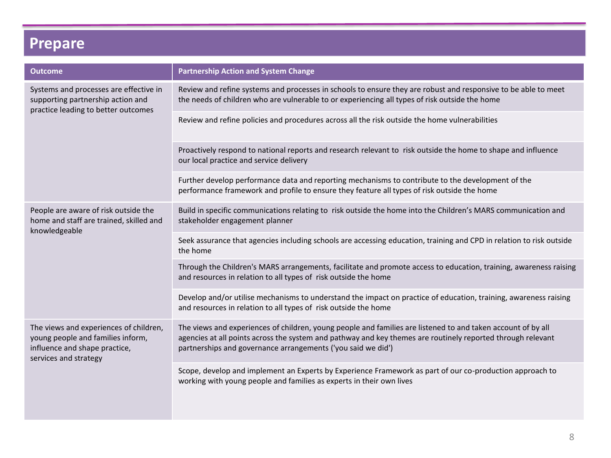# **Prepare**

| <b>Outcome</b>                                                                                                                        | <b>Partnership Action and System Change</b>                                                                                                                                                                                                                                                 |
|---------------------------------------------------------------------------------------------------------------------------------------|---------------------------------------------------------------------------------------------------------------------------------------------------------------------------------------------------------------------------------------------------------------------------------------------|
| Systems and processes are effective in<br>supporting partnership action and<br>practice leading to better outcomes                    | Review and refine systems and processes in schools to ensure they are robust and responsive to be able to meet<br>the needs of children who are vulnerable to or experiencing all types of risk outside the home                                                                            |
|                                                                                                                                       | Review and refine policies and procedures across all the risk outside the home vulnerabilities                                                                                                                                                                                              |
|                                                                                                                                       | Proactively respond to national reports and research relevant to risk outside the home to shape and influence<br>our local practice and service delivery                                                                                                                                    |
|                                                                                                                                       | Further develop performance data and reporting mechanisms to contribute to the development of the<br>performance framework and profile to ensure they feature all types of risk outside the home                                                                                            |
| People are aware of risk outside the<br>home and staff are trained, skilled and<br>knowledgeable                                      | Build in specific communications relating to risk outside the home into the Children's MARS communication and<br>stakeholder engagement planner                                                                                                                                             |
|                                                                                                                                       | Seek assurance that agencies including schools are accessing education, training and CPD in relation to risk outside<br>the home                                                                                                                                                            |
|                                                                                                                                       | Through the Children's MARS arrangements, facilitate and promote access to education, training, awareness raising<br>and resources in relation to all types of risk outside the home                                                                                                        |
|                                                                                                                                       | Develop and/or utilise mechanisms to understand the impact on practice of education, training, awareness raising<br>and resources in relation to all types of risk outside the home                                                                                                         |
| The views and experiences of children,<br>young people and families inform,<br>influence and shape practice,<br>services and strategy | The views and experiences of children, young people and families are listened to and taken account of by all<br>agencies at all points across the system and pathway and key themes are routinely reported through relevant<br>partnerships and governance arrangements ('you said we did') |
|                                                                                                                                       | Scope, develop and implement an Experts by Experience Framework as part of our co-production approach to<br>working with young people and families as experts in their own lives                                                                                                            |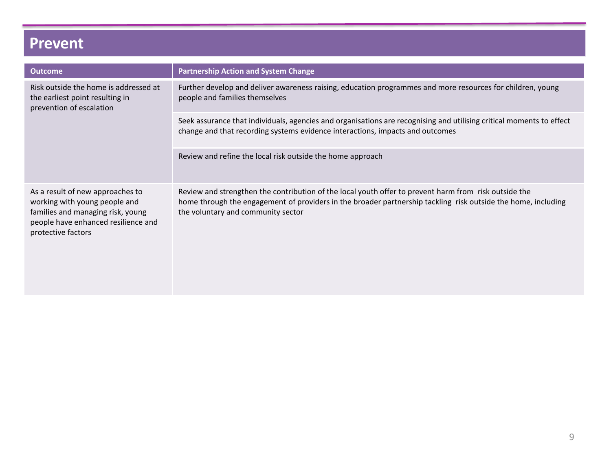## **Prevent**

| <b>Outcome</b>                                                                                                                                                      | <b>Partnership Action and System Change</b>                                                                                                                                                                                                                  |
|---------------------------------------------------------------------------------------------------------------------------------------------------------------------|--------------------------------------------------------------------------------------------------------------------------------------------------------------------------------------------------------------------------------------------------------------|
| Risk outside the home is addressed at<br>the earliest point resulting in<br>prevention of escalation                                                                | Further develop and deliver awareness raising, education programmes and more resources for children, young<br>people and families themselves                                                                                                                 |
|                                                                                                                                                                     | Seek assurance that individuals, agencies and organisations are recognising and utilising critical moments to effect<br>change and that recording systems evidence interactions, impacts and outcomes                                                        |
|                                                                                                                                                                     | Review and refine the local risk outside the home approach                                                                                                                                                                                                   |
| As a result of new approaches to<br>working with young people and<br>families and managing risk, young<br>people have enhanced resilience and<br>protective factors | Review and strengthen the contribution of the local youth offer to prevent harm from risk outside the<br>home through the engagement of providers in the broader partnership tackling risk outside the home, including<br>the voluntary and community sector |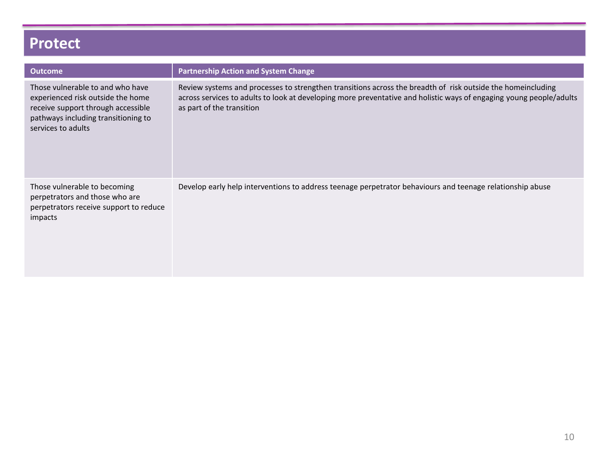## **Protect**

| <b>Outcome</b>                                                                                                                                                           | <b>Partnership Action and System Change</b>                                                                                                                                                                                                                     |
|--------------------------------------------------------------------------------------------------------------------------------------------------------------------------|-----------------------------------------------------------------------------------------------------------------------------------------------------------------------------------------------------------------------------------------------------------------|
| Those vulnerable to and who have<br>experienced risk outside the home<br>receive support through accessible<br>pathways including transitioning to<br>services to adults | Review systems and processes to strengthen transitions across the breadth of risk outside the homeincluding<br>across services to adults to look at developing more preventative and holistic ways of engaging young people/adults<br>as part of the transition |
| Those vulnerable to becoming<br>perpetrators and those who are<br>perpetrators receive support to reduce<br>impacts                                                      | Develop early help interventions to address teenage perpetrator behaviours and teenage relationship abuse                                                                                                                                                       |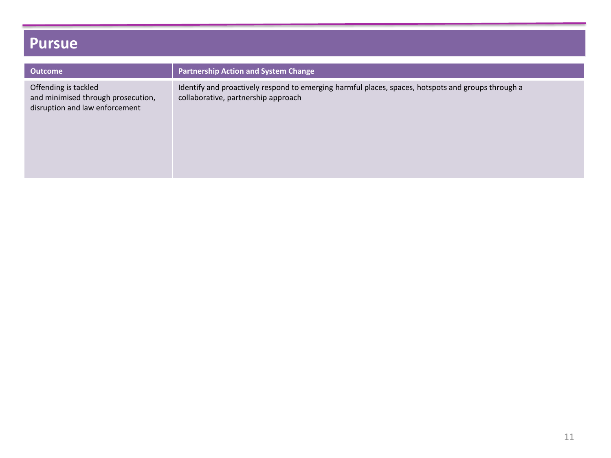## **Pursue**

| <b>Outcome</b>                                                                               | <b>Partnership Action and System Change</b>                                                                                               |
|----------------------------------------------------------------------------------------------|-------------------------------------------------------------------------------------------------------------------------------------------|
| Offending is tackled<br>and minimised through prosecution,<br>disruption and law enforcement | Identify and proactively respond to emerging harmful places, spaces, hotspots and groups through a<br>collaborative, partnership approach |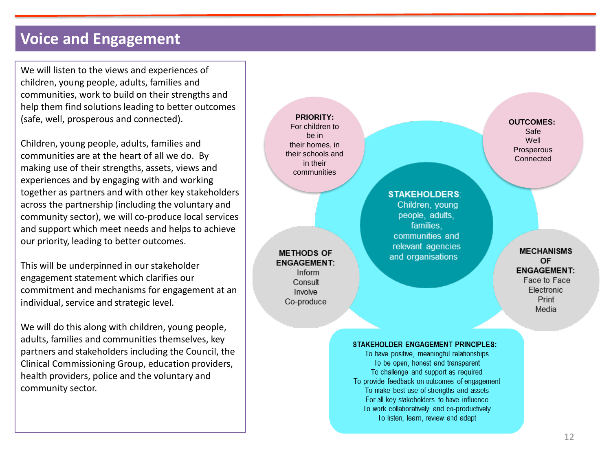#### **Voice and Engagement**

We will listen to the views and experiences of children, young people, adults, families and communities, work to build on their strengths and help them find solutions leading to better outcomes (safe, well, prosperous and connected).

Children, young people, adults, families and communities are at the heart of all we do. By making use of their strengths, assets, views and experiences and by engaging with and working together as partners and with other key stakeholders across the partnership (including the voluntary and community sector), we will co -produce local services and support which meet needs and helps to achieve our priority, leading to better outcomes.

This will be underpinned in our stakeholder engagement statement which clarifies our commitment and mechanisms for engagement at an individual, service and strategic level.

We will do this along with children, young people, adults, families and communities themselves, key partners and stakeholders including the Council, the Clinical Commissioning Group, education providers, health providers, police and the voluntary and community sector.

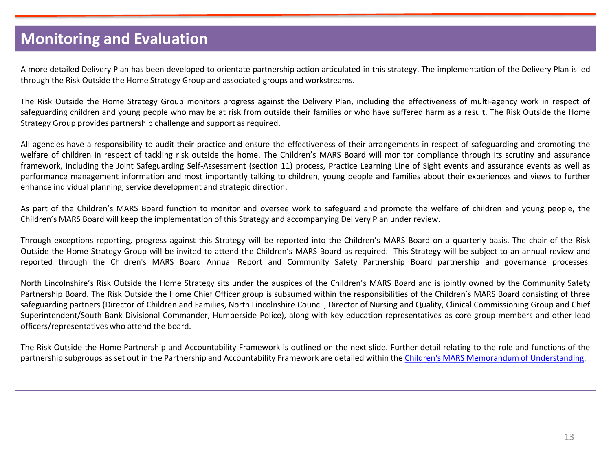### **Monitoring and Evaluation**

A more detailed Delivery Plan has been developed to orientate partnership action articulated in this strategy. The implementation of the Delivery Plan is led through the Risk Outside the Home Strategy Group and associated groups and workstreams.

The Risk Outside the Home Strategy Group monitors progress against the Delivery Plan, including the effectiveness of multi-agency work in respect of safeguarding children and young people who may be at risk from outside their families or who have suffered harm as a result. The Risk Outside the Home Strategy Group provides partnership challenge and support as required.

All agencies have a responsibility to audit their practice and ensure the effectiveness of their arrangements in respect of safeguarding and promoting the welfare of children in respect of tackling risk outside the home. The Children's MARS Board will monitor compliance through its scrutiny and assurance framework, including the Joint Safeguarding Self-Assessment (section 11) process, Practice Learning Line of Sight events and assurance events as well as performance management information and most importantly talking to children, young people and families about their experiences and views to further enhance individual planning, service development and strategic direction.

As part of the Children's MARS Board function to monitor and oversee work to safeguard and promote the welfare of children and young people, the Children's MARS Board will keep the implementation of this Strategy and accompanying Delivery Plan under review.

Through exceptions reporting, progress against this Strategy will be reported into the Children's MARS Board on a quarterly basis. The chair of the Risk Outside the Home Strategy Group will be invited to attend the Children's MARS Board as required. This Strategy will be subject to an annual review and reported through the Children's MARS Board Annual Report and Community Safety Partnership Board partnership and governance processes.

North Lincolnshire's Risk Outside the Home Strategy sits under the auspices of the Children's MARS Board and is jointly owned by the Community Safety Partnership Board. The Risk Outside the Home Chief Officer group is subsumed within the responsibilities of the Children's MARS Board consisting of three safeguarding partners (Director of Children and Families, North Lincolnshire Council, Director of Nursing and Quality, Clinical Commissioning Group and Chief Superintendent/South Bank Divisional Commander, Humberside Police), along with key education representatives as core group members and other lead officers/representatives who attend the board.

The Risk Outside the Home Partnership and Accountability Framework is outlined on the next slide. Further detail relating to the role and functions of the partnership subgroups as set out in the Partnership and Accountability Framework are detailed within the Children's MARS Memorandum of [Understanding](https://www.northlincscmars.co.uk/key-documents/).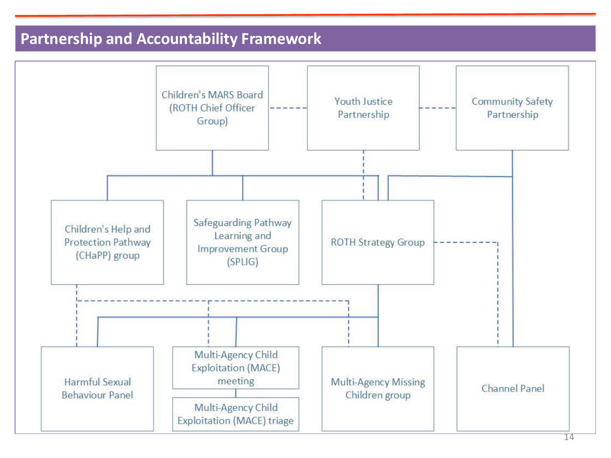### **Partnership and Accountability Framework**

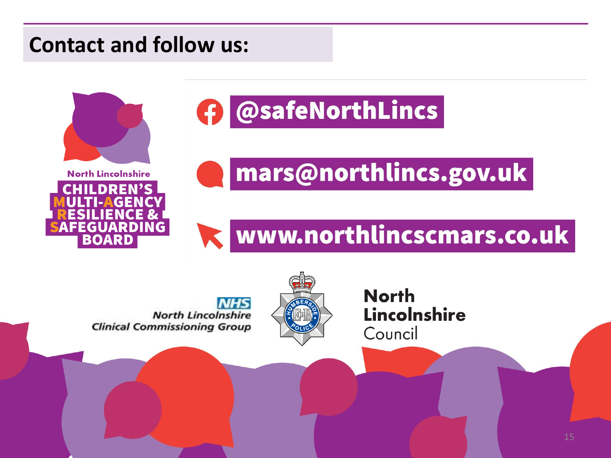# **Contact and follow us:**



EGUARD BOAR

# **f** @safeNorthLincs

# mars@northlincs.gov.uk

# www.northlincscmars.co.uk

**North Lincolnshire Clinical Commissioning Group** 

**North Lincolnshire** Council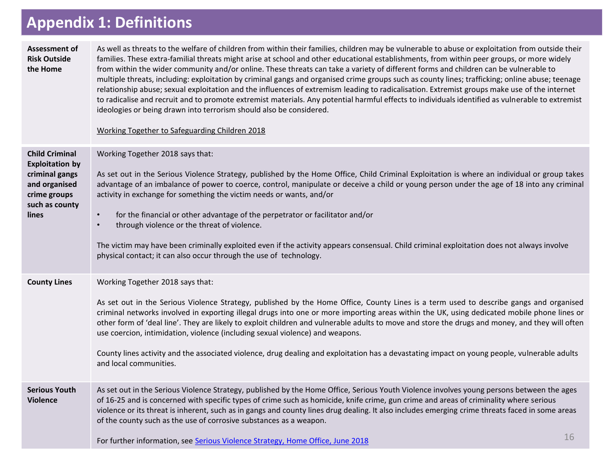# **Appendix 1: Definitions**

| Assessment of<br><b>Risk Outside</b><br>the Home                                                                              | As well as threats to the welfare of children from within their families, children may be vulnerable to abuse or exploitation from outside their<br>families. These extra-familial threats might arise at school and other educational establishments, from within peer groups, or more widely<br>from within the wider community and/or online. These threats can take a variety of different forms and children can be vulnerable to<br>multiple threats, including: exploitation by criminal gangs and organised crime groups such as county lines; trafficking; online abuse; teenage<br>relationship abuse; sexual exploitation and the influences of extremism leading to radicalisation. Extremist groups make use of the internet<br>to radicalise and recruit and to promote extremist materials. Any potential harmful effects to individuals identified as vulnerable to extremist<br>ideologies or being drawn into terrorism should also be considered.<br>Working Together to Safeguarding Children 2018 |    |
|-------------------------------------------------------------------------------------------------------------------------------|------------------------------------------------------------------------------------------------------------------------------------------------------------------------------------------------------------------------------------------------------------------------------------------------------------------------------------------------------------------------------------------------------------------------------------------------------------------------------------------------------------------------------------------------------------------------------------------------------------------------------------------------------------------------------------------------------------------------------------------------------------------------------------------------------------------------------------------------------------------------------------------------------------------------------------------------------------------------------------------------------------------------|----|
| <b>Child Criminal</b><br><b>Exploitation by</b><br>criminal gangs<br>and organised<br>crime groups<br>such as county<br>lines | Working Together 2018 says that:<br>As set out in the Serious Violence Strategy, published by the Home Office, Child Criminal Exploitation is where an individual or group takes<br>advantage of an imbalance of power to coerce, control, manipulate or deceive a child or young person under the age of 18 into any criminal<br>activity in exchange for something the victim needs or wants, and/or<br>for the financial or other advantage of the perpetrator or facilitator and/or<br>$\bullet$<br>through violence or the threat of violence.<br>$\bullet$<br>The victim may have been criminally exploited even if the activity appears consensual. Child criminal exploitation does not always involve<br>physical contact; it can also occur through the use of technology.                                                                                                                                                                                                                                   |    |
| <b>County Lines</b>                                                                                                           | Working Together 2018 says that:<br>As set out in the Serious Violence Strategy, published by the Home Office, County Lines is a term used to describe gangs and organised<br>criminal networks involved in exporting illegal drugs into one or more importing areas within the UK, using dedicated mobile phone lines or<br>other form of 'deal line'. They are likely to exploit children and vulnerable adults to move and store the drugs and money, and they will often<br>use coercion, intimidation, violence (including sexual violence) and weapons.<br>County lines activity and the associated violence, drug dealing and exploitation has a devastating impact on young people, vulnerable adults<br>and local communities.                                                                                                                                                                                                                                                                                |    |
| <b>Serious Youth</b><br><b>Violence</b>                                                                                       | As set out in the Serious Violence Strategy, published by the Home Office, Serious Youth Violence involves young persons between the ages<br>of 16-25 and is concerned with specific types of crime such as homicide, knife crime, gun crime and areas of criminality where serious<br>violence or its threat is inherent, such as in gangs and county lines drug dealing. It also includes emerging crime threats faced in some areas<br>of the county such as the use of corrosive substances as a weapon.<br>For further information, see Serious Violence Strategy, Home Office, June 2018                                                                                                                                                                                                                                                                                                                                                                                                                         | 16 |
|                                                                                                                               |                                                                                                                                                                                                                                                                                                                                                                                                                                                                                                                                                                                                                                                                                                                                                                                                                                                                                                                                                                                                                        |    |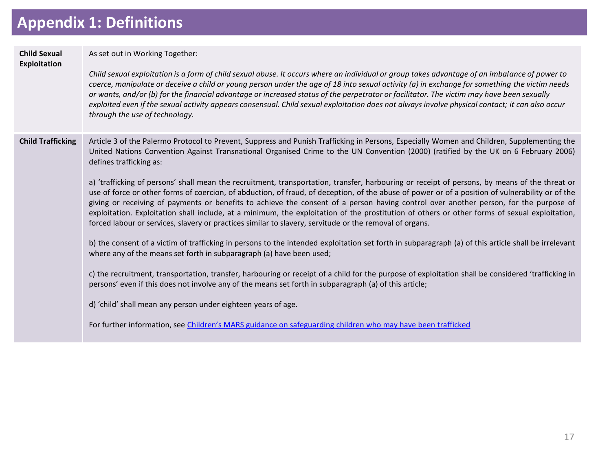# **Appendix 1: Definitions**

| <b>Child Sexual</b><br><b>Exploitation</b> | As set out in Working Together:<br>Child sexual exploitation is a form of child sexual abuse. It occurs where an individual or group takes advantage of an imbalance of power to<br>coerce, manipulate or deceive a child or young person under the age of 18 into sexual activity (a) in exchange for something the victim needs<br>or wants, and/or (b) for the financial advantage or increased status of the perpetrator or facilitator. The victim may have been sexually<br>exploited even if the sexual activity appears consensual. Child sexual exploitation does not always involve physical contact; it can also occur<br>through the use of technology.                                                                                                                                                                                                                                                                                                                                                                                                                                                                                                                                                                                                                                                                                                                                                                                                                                                                                                                                                                                                                                   |
|--------------------------------------------|-------------------------------------------------------------------------------------------------------------------------------------------------------------------------------------------------------------------------------------------------------------------------------------------------------------------------------------------------------------------------------------------------------------------------------------------------------------------------------------------------------------------------------------------------------------------------------------------------------------------------------------------------------------------------------------------------------------------------------------------------------------------------------------------------------------------------------------------------------------------------------------------------------------------------------------------------------------------------------------------------------------------------------------------------------------------------------------------------------------------------------------------------------------------------------------------------------------------------------------------------------------------------------------------------------------------------------------------------------------------------------------------------------------------------------------------------------------------------------------------------------------------------------------------------------------------------------------------------------------------------------------------------------------------------------------------------------|
| <b>Child Trafficking</b>                   | Article 3 of the Palermo Protocol to Prevent, Suppress and Punish Trafficking in Persons, Especially Women and Children, Supplementing the<br>United Nations Convention Against Transnational Organised Crime to the UN Convention (2000) (ratified by the UK on 6 February 2006)<br>defines trafficking as:<br>a) 'trafficking of persons' shall mean the recruitment, transportation, transfer, harbouring or receipt of persons, by means of the threat or<br>use of force or other forms of coercion, of abduction, of fraud, of deception, of the abuse of power or of a position of vulnerability or of the<br>giving or receiving of payments or benefits to achieve the consent of a person having control over another person, for the purpose of<br>exploitation. Exploitation shall include, at a minimum, the exploitation of the prostitution of others or other forms of sexual exploitation,<br>forced labour or services, slavery or practices similar to slavery, servitude or the removal of organs.<br>b) the consent of a victim of trafficking in persons to the intended exploitation set forth in subparagraph (a) of this article shall be irrelevant<br>where any of the means set forth in subparagraph (a) have been used;<br>c) the recruitment, transportation, transfer, harbouring or receipt of a child for the purpose of exploitation shall be considered 'trafficking in<br>persons' even if this does not involve any of the means set forth in subparagraph (a) of this article;<br>d) 'child' shall mean any person under eighteen years of age.<br>For further information, see Children's MARS guidance on safeguarding children who may have been trafficked |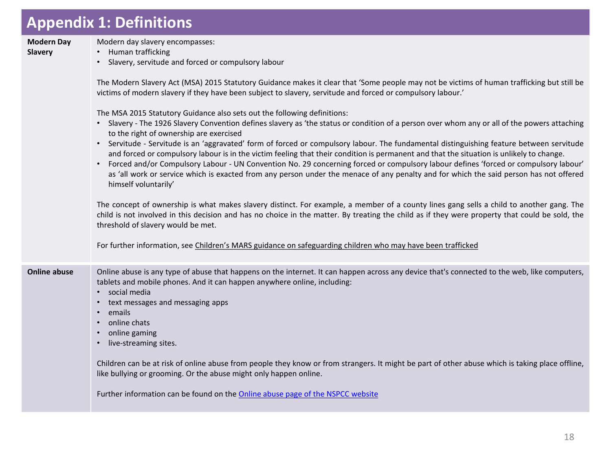# **Appendix 1: Definitions**

| <b>Modern Day</b><br>Slavery | Modern day slavery encompasses:<br>• Human trafficking<br>• Slavery, servitude and forced or compulsory labour<br>The Modern Slavery Act (MSA) 2015 Statutory Guidance makes it clear that 'Some people may not be victims of human trafficking but still be<br>victims of modern slavery if they have been subject to slavery, servitude and forced or compulsory labour.'<br>The MSA 2015 Statutory Guidance also sets out the following definitions:<br>• Slavery - The 1926 Slavery Convention defines slavery as 'the status or condition of a person over whom any or all of the powers attaching<br>to the right of ownership are exercised<br>• Servitude - Servitude is an 'aggravated' form of forced or compulsory labour. The fundamental distinguishing feature between servitude<br>and forced or compulsory labour is in the victim feeling that their condition is permanent and that the situation is unlikely to change.<br>Forced and/or Compulsory Labour - UN Convention No. 29 concerning forced or compulsory labour defines 'forced or compulsory labour'<br>as 'all work or service which is exacted from any person under the menace of any penalty and for which the said person has not offered<br>himself voluntarily'<br>The concept of ownership is what makes slavery distinct. For example, a member of a county lines gang sells a child to another gang. The<br>child is not involved in this decision and has no choice in the matter. By treating the child as if they were property that could be sold, the<br>threshold of slavery would be met. |
|------------------------------|-----------------------------------------------------------------------------------------------------------------------------------------------------------------------------------------------------------------------------------------------------------------------------------------------------------------------------------------------------------------------------------------------------------------------------------------------------------------------------------------------------------------------------------------------------------------------------------------------------------------------------------------------------------------------------------------------------------------------------------------------------------------------------------------------------------------------------------------------------------------------------------------------------------------------------------------------------------------------------------------------------------------------------------------------------------------------------------------------------------------------------------------------------------------------------------------------------------------------------------------------------------------------------------------------------------------------------------------------------------------------------------------------------------------------------------------------------------------------------------------------------------------------------------------------------------------------------------------|
|                              | For further information, see Children's MARS guidance on safeguarding children who may have been trafficked                                                                                                                                                                                                                                                                                                                                                                                                                                                                                                                                                                                                                                                                                                                                                                                                                                                                                                                                                                                                                                                                                                                                                                                                                                                                                                                                                                                                                                                                             |
| <b>Online abuse</b>          | Online abuse is any type of abuse that happens on the internet. It can happen across any device that's connected to the web, like computers,<br>tablets and mobile phones. And it can happen anywhere online, including:<br>• social media<br>text messages and messaging apps<br>emails<br>online chats<br>online gaming<br>live-streaming sites.<br>Children can be at risk of online abuse from people they know or from strangers. It might be part of other abuse which is taking place offline,                                                                                                                                                                                                                                                                                                                                                                                                                                                                                                                                                                                                                                                                                                                                                                                                                                                                                                                                                                                                                                                                                   |
|                              | like bullying or grooming. Or the abuse might only happen online.<br>Further information can be found on the Online abuse page of the NSPCC website                                                                                                                                                                                                                                                                                                                                                                                                                                                                                                                                                                                                                                                                                                                                                                                                                                                                                                                                                                                                                                                                                                                                                                                                                                                                                                                                                                                                                                     |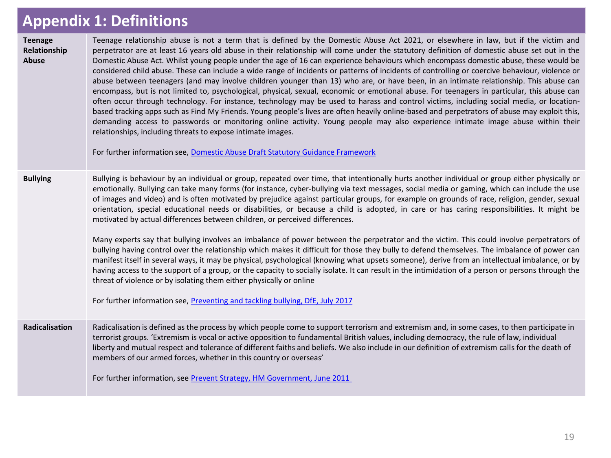### **APPENDIX 1: Definitions Appendix 1: Definitions**

| <b>Teenage</b><br>Relationship<br>Abuse | Teenage relationship abuse is not a term that is defined by the Domestic Abuse Act 2021, or elsewhere in law, but if the victim and<br>perpetrator are at least 16 years old abuse in their relationship will come under the statutory definition of domestic abuse set out in the<br>Domestic Abuse Act. Whilst young people under the age of 16 can experience behaviours which encompass domestic abuse, these would be<br>considered child abuse. These can include a wide range of incidents or patterns of incidents of controlling or coercive behaviour, violence or<br>abuse between teenagers (and may involve children younger than 13) who are, or have been, in an intimate relationship. This abuse can<br>encompass, but is not limited to, psychological, physical, sexual, economic or emotional abuse. For teenagers in particular, this abuse can<br>often occur through technology. For instance, technology may be used to harass and control victims, including social media, or location-<br>based tracking apps such as Find My Friends. Young people's lives are often heavily online-based and perpetrators of abuse may exploit this,<br>demanding access to passwords or monitoring online activity. Young people may also experience intimate image abuse within their<br>relationships, including threats to expose intimate images.<br>For further information see, Domestic Abuse Draft Statutory Guidance Framework |
|-----------------------------------------|------------------------------------------------------------------------------------------------------------------------------------------------------------------------------------------------------------------------------------------------------------------------------------------------------------------------------------------------------------------------------------------------------------------------------------------------------------------------------------------------------------------------------------------------------------------------------------------------------------------------------------------------------------------------------------------------------------------------------------------------------------------------------------------------------------------------------------------------------------------------------------------------------------------------------------------------------------------------------------------------------------------------------------------------------------------------------------------------------------------------------------------------------------------------------------------------------------------------------------------------------------------------------------------------------------------------------------------------------------------------------------------------------------------------------------------------------|
| <b>Bullying</b>                         | Bullying is behaviour by an individual or group, repeated over time, that intentionally hurts another individual or group either physically or<br>emotionally. Bullying can take many forms (for instance, cyber-bullying via text messages, social media or gaming, which can include the use<br>of images and video) and is often motivated by prejudice against particular groups, for example on grounds of race, religion, gender, sexual<br>orientation, special educational needs or disabilities, or because a child is adopted, in care or has caring responsibilities. It might be<br>motivated by actual differences between children, or perceived differences.<br>Many experts say that bullying involves an imbalance of power between the perpetrator and the victim. This could involve perpetrators of<br>bullying having control over the relationship which makes it difficult for those they bully to defend themselves. The imbalance of power can<br>manifest itself in several ways, it may be physical, psychological (knowing what upsets someone), derive from an intellectual imbalance, or by<br>having access to the support of a group, or the capacity to socially isolate. It can result in the intimidation of a person or persons through the<br>threat of violence or by isolating them either physically or online<br>For further information see, Preventing and tackling bullying, DfE, July 2017              |
| Radicalisation                          | Radicalisation is defined as the process by which people come to support terrorism and extremism and, in some cases, to then participate in<br>terrorist groups. 'Extremism is vocal or active opposition to fundamental British values, including democracy, the rule of law, individual<br>liberty and mutual respect and tolerance of different faiths and beliefs. We also include in our definition of extremism calls for the death of<br>members of our armed forces, whether in this country or overseas'<br>For further information, see Prevent Strategy, HM Government, June 2011                                                                                                                                                                                                                                                                                                                                                                                                                                                                                                                                                                                                                                                                                                                                                                                                                                                         |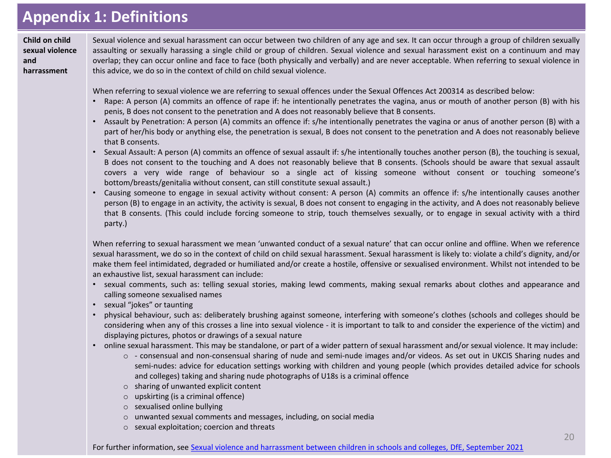## **APPENDIX 1: Definitions Appendix 1: Definitions**

**Child on child sexual violence and harrassment**

Sexual violence and sexual harassment can occur between two children of any age and sex. It can occur through a group of children sexually assaulting or sexually harassing a single child or group of children. Sexual violence and sexual harassment exist on a continuum and may overlap; they can occur online and face to face (both physically and verbally) and are never acceptable. When referring to sexual violence in this advice, we do so in the context of child on child sexual violence.

When referring to sexual violence we are referring to sexual offences under the Sexual Offences Act 200314 as described below:

- Rape: A person (A) commits an offence of rape if: he intentionally penetrates the vagina, anus or mouth of another person (B) with his penis, B does not consent to the penetration and A does not reasonably believe that B consents.
- Assault by Penetration: A person (A) commits an offence if: s/he intentionally penetrates the vagina or anus of another person (B) with a part of her/his body or anything else, the penetration is sexual, B does not consent to the penetration and A does not reasonably believe that B consents.
- Sexual Assault: A person (A) commits an offence of sexual assault if: s/he intentionally touches another person (B), the touching is sexual, B does not consent to the touching and A does not reasonably believe that B consents. (Schools should be aware that sexual assault covers a very wide range of behaviour so a single act of kissing someone without consent or touching someone's bottom/breasts/genitalia without consent, can still constitute sexual assault.)
- Causing someone to engage in sexual activity without consent: A person (A) commits an offence if: s/he intentionally causes another person (B) to engage in an activity, the activity is sexual, B does not consent to engaging in the activity, and A does not reasonably believe that B consents. (This could include forcing someone to strip, touch themselves sexually, or to engage in sexual activity with a third party.)

When referring to sexual harassment we mean 'unwanted conduct of a sexual nature' that can occur online and offline. When we reference sexual harassment, we do so in the context of child on child sexual harassment. Sexual harassment is likely to: violate a child's dignity, and/or make them feel intimidated, degraded or humiliated and/or create a hostile, offensive or sexualised environment. Whilst not intended to be an exhaustive list, sexual harassment can include:

- sexual comments, such as: telling sexual stories, making lewd comments, making sexual remarks about clothes and appearance and calling someone sexualised names
- sexual "jokes" or taunting
- physical behaviour, such as: deliberately brushing against someone, interfering with someone's clothes (schools and colleges should be considering when any of this crosses a line into sexual violence - it is important to talk to and consider the experience of the victim) and displaying pictures, photos or drawings of a sexual nature
- online sexual harassment. This may be standalone, or part of a wider pattern of sexual harassment and/or sexual violence. It may include:
	- o consensual and non-consensual sharing of nude and semi-nude images and/or videos. As set out in UKCIS Sharing nudes and semi-nudes: advice for education settings working with children and young people (which provides detailed advice for schools and colleges) taking and sharing nude photographs of U18s is a criminal offence
	- o sharing of unwanted explicit content
	- o upskirting (is a criminal offence)
	- o sexualised online bullying
	- o unwanted sexual comments and messages, including, on social media
	- o sexual exploitation; coercion and threats

For further information, see Sexual violence and harrassment [between children in schools and colleges, DfE, September 2021](https://www.gov.uk/government/publications/sexual-violence-and-sexual-harassment-between-children-in-schools-and-colleges)